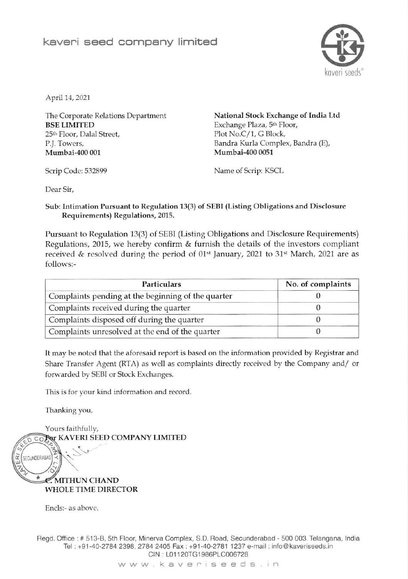

April 14, 2021

The Corporate Relations Department BSE LIMITED 25<sup>th</sup> Floor, Dalal Street, P.J. Towers, Mumbai-4oo 001

National Stock Exchange of India Ltd Exchange Plaza, 5<sup>th</sup> Floor, Plot No.C/1, G Block, Bandra Kurla Complex, Bandra (E), Mumbai-400 0051

Scrip Code: 532899 Name of Scrip: KSCL

Dear Sir,

Sub: Intimation Pursuant to Regulation 13(3) of SEBI (Listing Obligations and Disclosure Requirements) Regulations, 2015.

Pursuant to Regulation l3(3) of SEBI (Listing Obligations and Disclosure Requirements) Regulations, 2015, wc hereby confirm & furnish the details of the investors compliant received & resolved during the period of  $01<sup>st</sup>$  January, 2021 to 31<sup>st</sup> March, 2021 are as follows:-

| Particulars                                        | No. of complaints |  |
|----------------------------------------------------|-------------------|--|
| Complaints pending at the beginning of the quarter |                   |  |
| Complaints received during the quarter             |                   |  |
| Complaints disposed off during the quarter         |                   |  |
| Complaints unresolved at the end of the quarter    |                   |  |

It may be noted that the aforesaid report is based on the information provided by Registrar and Share Transfer Agent (RTA) as well as complaints directly received by the Company and/ or forwarded by SEBI or Stock Exchanges.

This is for your kind information and record

Thanking you,



Regd. Office : # 513-B, 5th Floor, Minerva Complex, S.D. Road, Secunderabad - 500 003. Telangana, India fel +91-40-2784 2398,2784 2405 Fax: +91-40-2781 1237 e-mail: info@kaveriseeds.in CIN : L01 120TG1986PLC006728